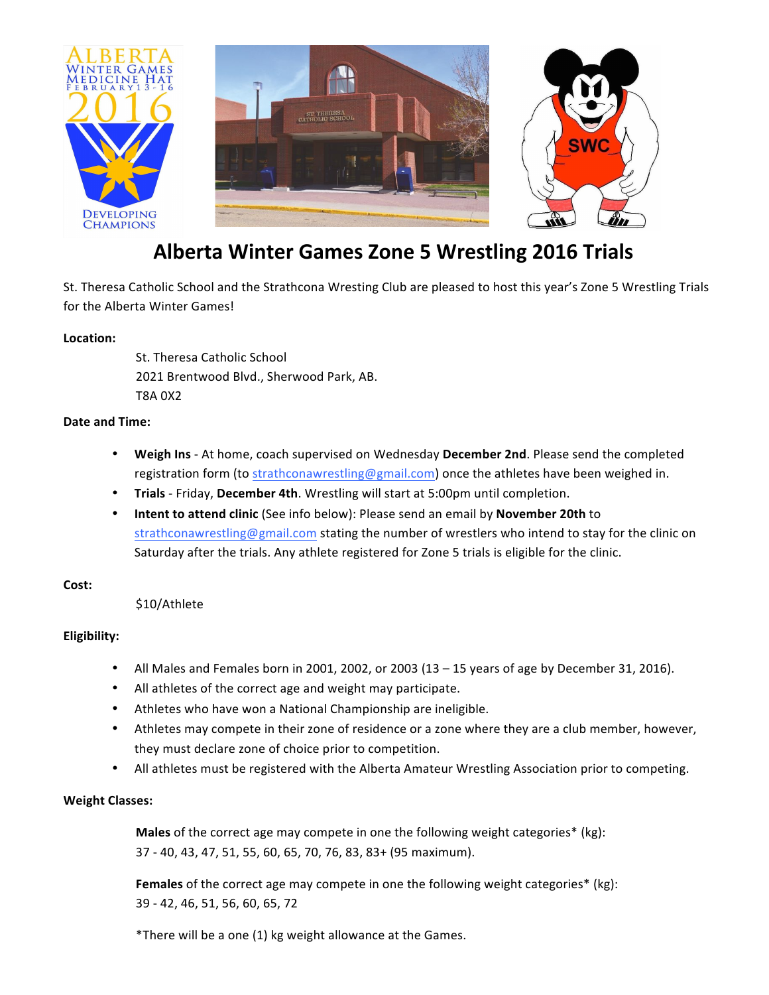

# **Alberta Winter Games Zone 5 Wrestling 2016 Trials**

St. Theresa Catholic School and the Strathcona Wresting Club are pleased to host this year's Zone 5 Wrestling Trials for the Alberta Winter Games!

#### **Location:**

St. Theresa Catholic School 2021 Brentwood Blvd., Sherwood Park, AB. T8A 0X2

#### **Date and Time:**

- Weigh Ins At home, coach supervised on Wednesday December 2nd. Please send the completed registration form (to strathconawrestling@gmail.com) once the athletes have been weighed in.
- **Trials** Friday, December 4th. Wrestling will start at 5:00pm until completion.
- **Intent to attend clinic** (See info below): Please send an email by **November 20th** to strathconawrestling@gmail.com stating the number of wrestlers who intend to stay for the clinic on Saturday after the trials. Any athlete registered for Zone 5 trials is eligible for the clinic.

#### Cost:

\$10/Athlete

# **Eligibility:**

- All Males and Females born in 2001, 2002, or 2003  $(13 15)$  years of age by December 31, 2016).
- All athletes of the correct age and weight may participate.
- Athletes who have won a National Championship are ineligible.
- Athletes may compete in their zone of residence or a zone where they are a club member, however, they must declare zone of choice prior to competition.
- All athletes must be registered with the Alberta Amateur Wrestling Association prior to competing.

#### **Weight Classes:**

**Males** of the correct age may compete in one the following weight categories\* (kg): 37 - 40, 43, 47, 51, 55, 60, 65, 70, 76, 83, 83+ (95 maximum).

**Females** of the correct age may compete in one the following weight categories\* (kg): 39 - 42, 46, 51, 56, 60, 65, 72

\*There will be a one (1) kg weight allowance at the Games.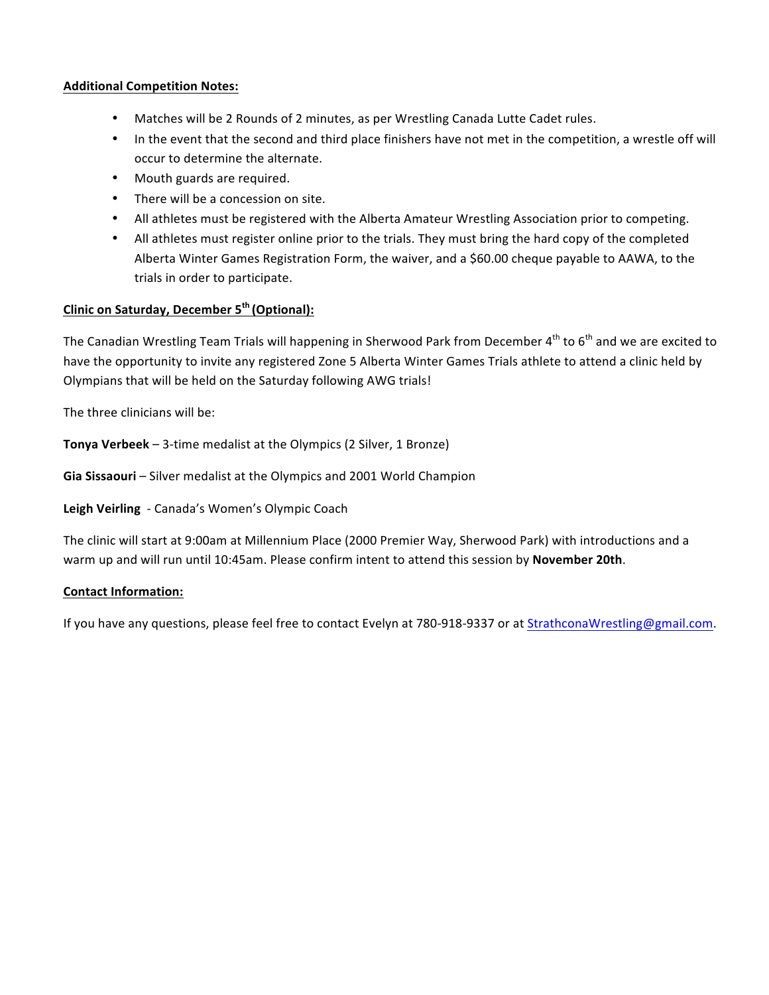#### **Additional Competition Notes:**

- Matches will be 2 Rounds of 2 minutes, as per Wrestling Canada Lutte Cadet rules.
- In the event that the second and third place finishers have not met in the competition, a wrestle off will occur to determine the alternate.
- Mouth guards are required.
- There will be a concession on site.
- All athletes must be registered with the Alberta Amateur Wrestling Association prior to competing.
- All athletes must register online prior to the trials. They must bring the hard copy of the completed Alberta Winter Games Registration Form, the waiver, and a \$60.00 cheque payable to AAWA, to the trials in order to participate.

# **Clinic on Saturday, December 5th (Optional):**

The Canadian Wrestling Team Trials will happening in Sherwood Park from December  $4^{\text{th}}$  to  $6^{\text{th}}$  and we are excited to have the opportunity to invite any registered Zone 5 Alberta Winter Games Trials athlete to attend a clinic held by Olympians that will be held on the Saturday following AWG trials!

The three clinicians will be:

**Tonya Verbeek** – 3-time medalist at the Olympics (2 Silver, 1 Bronze)

**Gia Sissaouri** – Silver medalist at the Olympics and 2001 World Champion

Leigh Veirling - Canada's Women's Olympic Coach

The clinic will start at 9:00am at Millennium Place (2000 Premier Way, Sherwood Park) with introductions and a warm up and will run until 10:45am. Please confirm intent to attend this session by November 20th.

#### **Contact Information:**

If you have any questions, please feel free to contact Evelyn at 780-918-9337 or at StrathconaWrestling@gmail.com.